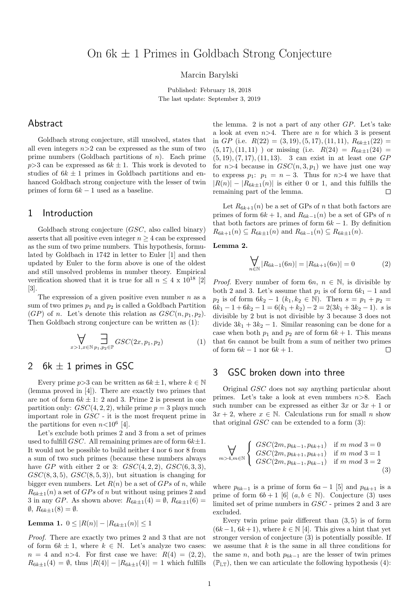Marcin Barylski

Published: February 18, 2018 The last update: September 3, 2019

## Abstract

Goldbach strong conjecture, still unsolved, states that all even integers  $n>2$  can be expressed as the sum of two prime numbers (Goldbach partitions of  $n$ ). Each prime  $p>3$  can be expressed as  $6k \pm 1$ . This work is devoted to studies of  $6k \pm 1$  primes in Goldbach partitions and enhanced Goldbach strong conjecture with the lesser of twin primes of form  $6k - 1$  used as a baseline.

#### 1 Introduction

Goldbach strong conjecture (GSC, also called binary) asserts that all positive even integer  $n \geq 4$  can be expressed as the sum of two prime numbers. This hypothesis, formulated by Goldbach in 1742 in letter to Euler [1] and then updated by Euler to the form above is one of the oldest and still unsolved problems in number theory. Empirical verification showed that it is true for all  $n \leq 4 \times 10^{18}$  [2] [3].

The expression of a given positive even number  $n$  as a sum of two primes  $p_1$  and  $p_2$  is called a Goldbach Partition  $(GP)$  of n. Let's denote this relation as  $GSC(n, p_1, p_2)$ . Then Goldbach strong conjecture can be written as (1):

$$
\bigvee_{x>1, x \in \mathbb{N}} \prod_{p_1, p_2 \in \mathbb{P}} GSC(2x, p_1, p_2)
$$
 (1)

## 2 6k  $\pm$  1 primes in GSC

Every prime  $p>3$  can be written as  $6k \pm 1$ , where  $k \in \mathbb{N}$ (lemma proved in [4]). There are exactly two primes that are not of form  $6k \pm 1$ : 2 and 3. Prime 2 is present in one partition only:  $GSC(4, 2, 2)$ , while prime  $p = 3$  plays much important role in GSC - it is the most frequent prime in the partitions for even  $n<10^6$  [4].

Let's exclude both primes 2 and 3 from a set of primes used to fulfill *GSC*. All remaining primes are of form  $6k\pm1$ . It would not be possible to build neither 4 nor 6 nor 8 from a sum of two such primes (because these numbers always have  $GP$  with either 2 or 3:  $GSC(4, 2, 2), GSC(6, 3, 3),$  $GSC(8, 3, 5), GSC(8, 5, 3),$  but situation is changing for bigger even numbers. Let  $R(n)$  be a set of  $GPs$  of n, while  $R_{6k+1}(n)$  a set of  $GPs$  of n but without using primes 2 and 3 in any GP. As shown above:  $R_{6k\pm1}(4) = \emptyset$ ,  $R_{6k\pm1}(6) =$  $\emptyset$ ,  $R_{6k\pm 1}(8) = \emptyset$ .

Lemma 1.  $0 \leq |R(n)| - |R_{6k+1}(n)| \leq 1$ 

Proof. There are exactly two primes 2 and 3 that are not of form  $6k \pm 1$ , where  $k \in \mathbb{N}$ . Let's analyze two cases:  $n = 4$  and  $n > 4$ . For first case we have:  $R(4) = (2, 2)$ ,  $R_{6k\pm1}(4) = \emptyset$ , thus  $|R(4)| - |R_{6k\pm1}(4)| = 1$  which fulfills the lemma. 2 is not a part of any other GP. Let's take a look at even  $n>4$ . There are n for which 3 is present in GP (i.e.  $R(22) = (3, 19), (5, 17), (11, 11), R_{6k\pm1}(22) =$  $(5, 17), (11, 11)$  ) or missing (i.e.  $R(24) = R_{6k\pm1}(24) =$  $(5, 19), (7, 17), (11, 13).$  3 can exist in at least one GP for  $n>4$  because in  $GSC(n, 3, p_1)$  we have just one way to express  $p_1: p_1 = n - 3$ . Thus for  $n > 4$  we have that  $|R(n)| - |R_{6k+1}(n)|$  is either 0 or 1, and this fulfills the remaining part of the lemma.  $\Box$ 

Let  $R_{6k+1}(n)$  be a set of GPs of n that both factors are primes of form  $6k + 1$ , and  $R_{6k-1}(n)$  be a set of GPs of n that both factors are primes of form  $6k - 1$ . By definition  $R_{6k+1}(n) \subseteq R_{6k+1}(n)$  and  $R_{6k-1}(n) \subseteq R_{6k+1}(n)$ .

Lemma 2.

$$
\bigvee_{n \in \mathbb{N}} |R_{6k-1}(6n)| = |R_{6k+1}(6n)| = 0 \tag{2}
$$

*Proof.* Every number of form  $6n, n \in \mathbb{N}$ , is divisible by both 2 and 3. Let's assume that  $p_1$  is of form  $6k_1 - 1$  and  $p_2$  is of form  $6k_2 - 1$   $(k_1, k_2 \in \mathbb{N})$ . Then  $s = p_1 + p_2 =$  $6k_1 - 1 + 6k_2 - 1 = 6(k_1 + k_2) - 2 = 2(3k_1 + 3k_2 - 1)$ . s is divisible by 2 but is not divisible by 3 because 3 does not divide  $3k_1 + 3k_2 - 1$ . Similar reasoning can be done for a case when both  $p_1$  and  $p_2$  are of form  $6k + 1$ . This means that 6n cannot be built from a sum of neither two primes of form  $6k - 1$  nor  $6k + 1$ .  $\Box$ 

#### 3 GSC broken down into three

Original GSC does not say anything particular about primes. Let's take a look at even numbers  $n>8$ . Each such number can be expressed as either  $3x$  or  $3x + 1$  or  $3x + 2$ , where  $x \in \mathbb{N}$ . Calculations run for small n show that original  $GSC$  can be extended to a form  $(3)$ :

$$
\bigvee_{m>4,m\in\mathbb{N}}\left\{\begin{array}{ll} GSC(2m,p_{6k-1},p_{6k+1}) & \text{if } m \text{ mod } 3=0\\ GSC(2m,p_{6k+1},p_{6k+1}) & \text{if } m \text{ mod } 3=1\\ GSC(2m,p_{6k-1},p_{6k-1}) & \text{if } m \text{ mod } 3=2\\ \end{array}\right.\tag{3}
$$

where  $p_{6k-1}$  is a prime of form  $6a-1$  [5] and  $p_{6k+1}$  is a prime of form  $6b + 1$  [6]  $(a, b \in \mathbb{N})$ . Conjecture (3) uses limited set of prime numbers in GSC - primes 2 and 3 are excluded.

Every twin prime pair different than  $(3, 5)$  is of form  $(6k-1, 6k+1)$ , where  $k \in \mathbb{N}$  [4]. This gives a hint that yet stronger version of conjecture (3) is potentially possible. If we assume that  $k$  is the same in all three conditions for the same n, and both  $p_{6k-1}$  are the lesser of twin primes  $(\mathbb{P}_{\mathbb{L}T})$ , then we can articulate the following hypothesis (4):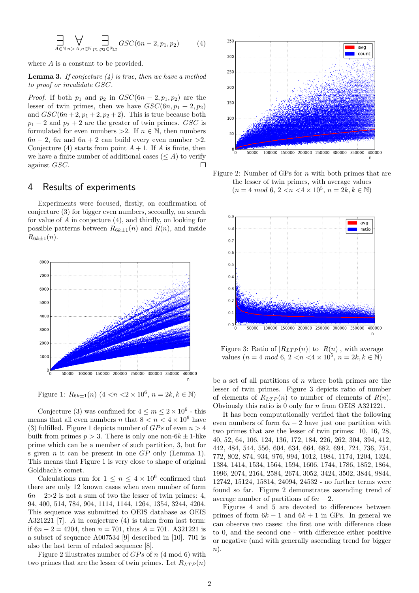$$
\prod_{A \in \mathbb{N}} \bigvee_{n > A, n \in \mathbb{N}} \prod_{p_1, p_2 \in \mathbb{P}_{\text{LT}}} GSC(6n - 2, p_1, p_2) \tag{4}
$$

where A is a constant to be provided.

**Lemma 3.** If conjecture  $(4)$  is true, then we have a method to proof or invalidate GSC.

*Proof.* If both  $p_1$  and  $p_2$  in  $GSC(6n - 2, p_1, p_2)$  are the lesser of twin primes, then we have  $GSC(6n, p_1 + 2, p_2)$ and  $GSC(6n+2, p_1+2, p_2+2)$ . This is true because both  $p_1 + 2$  and  $p_2 + 2$  are the greater of twin primes. GSC is formulated for even numbers >2. If  $n \in \mathbb{N}$ , then numbers  $6n - 2$ ,  $6n$  and  $6n + 2$  can build every even number >2. Conjecture (4) starts from point  $A + 1$ . If A is finite, then we have a finite number of additional cases ( $\leq A$ ) to verify against GSC.  $\Box$ 

# 4 Results of experiments

Experiments were focused, firstly, on confirmation of conjecture (3) for bigger even numbers, secondly, on search for value of A in conjecture (4), and thirdly, on looking for possible patterns between  $R_{6k+1}(n)$  and  $R(n)$ , and inside  $R_{6k+1}(n)$ .



Figure 1:  $R_{6k\pm1}(n)$   $(4 < n < 2 \times 10^6, n = 2k, k \in \mathbb{N})$ 

Conjecture (3) was confimed for  $4 \le m \le 2 \times 10^6$  - this means that all even numbers n that  $8 < n < 4 \times 10^6$  have (3) fulfilled. Figure 1 depicts number of  $GPs$  of even  $n > 4$ built from primes  $p > 3$ . There is only one non- $6k \pm 1$ -like prime which can be a member of such partition, 3, but for s given *n* it can be present in one  $GP$  only (Lemma 1). This means that Figure 1 is very close to shape of original Goldbach's comet.

Calculations run for  $1 \leq n \leq 4 \times 10^6$  confirmed that there are only 12 known cases when even number of form  $6n - 2 > 2$  is not a sum of two the lesser of twin primes: 4, 94, 400, 514, 784, 904, 1114, 1144, 1264, 1354, 3244, 4204. This sequence was submitted to OEIS database as OEIS A321221 [7]. A in conjecture (4) is taken from last term: if  $6n - 2 = 4204$ , then  $n = 701$ , thus  $A = 701$ . A321221 is a subset of sequence A007534 [9] described in [10]. 701 is also the last term of related sequence [8].

Figure 2 illustrates number of  $GPs$  of n (4 mod 6) with two primes that are the lesser of twin primes. Let  $R_{LTP}(n)$ 



Figure 2: Number of GPs for  $n$  with both primes that are the lesser of twin primes, with average values  $(n = 4 \mod 6, 2 \lt n \lt 4 \times 10^5, n = 2k, k \in \mathbb{N})$ 



Figure 3: Ratio of  $|R_{LTP}(n)|$  to  $|R(n)|$ , with average values ( $n = 4 \mod 6, 2 < n < 4 \times 10^5, n = 2k, k \in \mathbb{N}$ )

be a set of all partitions of  $n$  where both primes are the lesser of twin primes. Figure 3 depicts ratio of number of elements of  $R_{LTP}(n)$  to number of elements of  $R(n)$ . Obviously this ratio is 0 only for n from OEIS A321221.

It has been computationally verified that the following even numbers of form  $6n - 2$  have just one partition with two primes that are the lesser of twin primes: 10, 16, 28, 40, 52, 64, 106, 124, 136, 172, 184, 226, 262, 304, 394, 412, 442, 484, 544, 556, 604, 634, 664, 682, 694, 724, 736, 754, 772, 802, 874, 934, 976, 994, 1012, 1984, 1174, 1204, 1324, 1384, 1414, 1534, 1564, 1594, 1606, 1744, 1786, 1852, 1864, 1996, 2074, 2164, 2584, 2674, 3052, 3424, 3502, 3844, 9844, 12742, 15124, 15814, 24094, 24532 - no further terms were found so far. Figure 2 demonstrates ascending trend of average number of partitions of  $6n - 2$ .

Figures 4 and 5 are devoted to differences between primes of form  $6k - 1$  and  $6k + 1$  in GPs. In general we can observe two cases: the first one with difference close to 0, and the second one - with difference either positive or negative (and with generally ascending trend for bigger n).